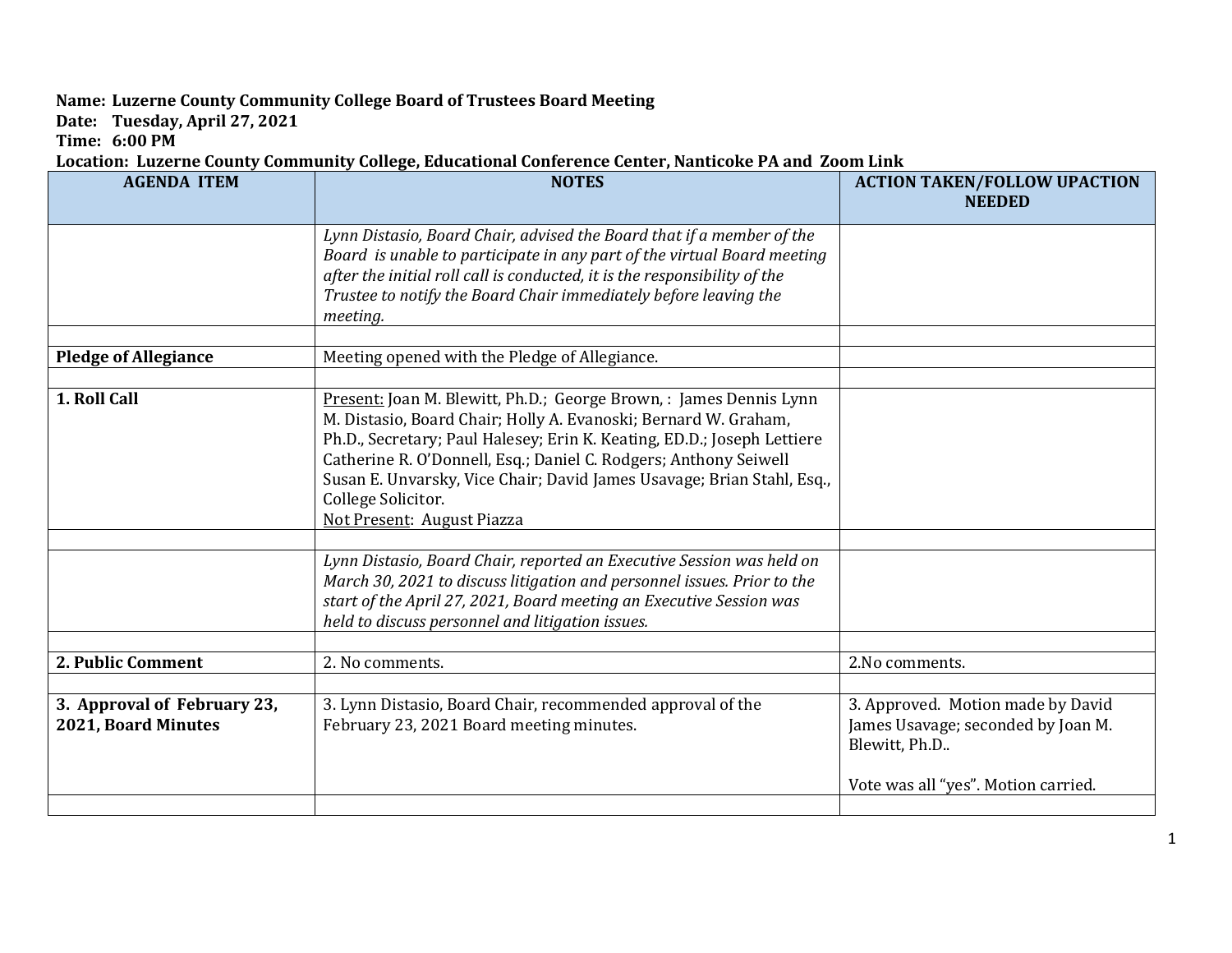## **Name: Luzerne County Community College Board of Trustees Board Meeting**

**Date: Tuesday, April 27, 2021**

**Time: 6:00 PM**

## **Location: Luzerne County Community College, Educational Conference Center, Nanticoke PA and Zoom Link**

| <b>AGENDA ITEM</b>                                 | <b>NOTES</b>                                                                                                                                                                                                                                                                                                                                                                                                       | <b>ACTION TAKEN/FOLLOW UPACTION</b><br><b>NEEDED</b>                                                                            |
|----------------------------------------------------|--------------------------------------------------------------------------------------------------------------------------------------------------------------------------------------------------------------------------------------------------------------------------------------------------------------------------------------------------------------------------------------------------------------------|---------------------------------------------------------------------------------------------------------------------------------|
|                                                    | Lynn Distasio, Board Chair, advised the Board that if a member of the<br>Board is unable to participate in any part of the virtual Board meeting<br>after the initial roll call is conducted, it is the responsibility of the<br>Trustee to notify the Board Chair immediately before leaving the<br>meeting.                                                                                                      |                                                                                                                                 |
| <b>Pledge of Allegiance</b>                        | Meeting opened with the Pledge of Allegiance.                                                                                                                                                                                                                                                                                                                                                                      |                                                                                                                                 |
| 1. Roll Call                                       | Present: Joan M. Blewitt, Ph.D.; George Brown, : James Dennis Lynn<br>M. Distasio, Board Chair; Holly A. Evanoski; Bernard W. Graham,<br>Ph.D., Secretary; Paul Halesey; Erin K. Keating, ED.D.; Joseph Lettiere<br>Catherine R. O'Donnell, Esq.; Daniel C. Rodgers; Anthony Seiwell<br>Susan E. Unvarsky, Vice Chair; David James Usavage; Brian Stahl, Esq.,<br>College Solicitor.<br>Not Present: August Piazza |                                                                                                                                 |
|                                                    | Lynn Distasio, Board Chair, reported an Executive Session was held on<br>March 30, 2021 to discuss litigation and personnel issues. Prior to the<br>start of the April 27, 2021, Board meeting an Executive Session was<br>held to discuss personnel and litigation issues.                                                                                                                                        |                                                                                                                                 |
| 2. Public Comment                                  | 2. No comments.                                                                                                                                                                                                                                                                                                                                                                                                    | 2.No comments.                                                                                                                  |
| 3. Approval of February 23,<br>2021, Board Minutes | 3. Lynn Distasio, Board Chair, recommended approval of the<br>February 23, 2021 Board meeting minutes.                                                                                                                                                                                                                                                                                                             | 3. Approved. Motion made by David<br>James Usavage; seconded by Joan M.<br>Blewitt, Ph.D<br>Vote was all "yes". Motion carried. |
|                                                    |                                                                                                                                                                                                                                                                                                                                                                                                                    |                                                                                                                                 |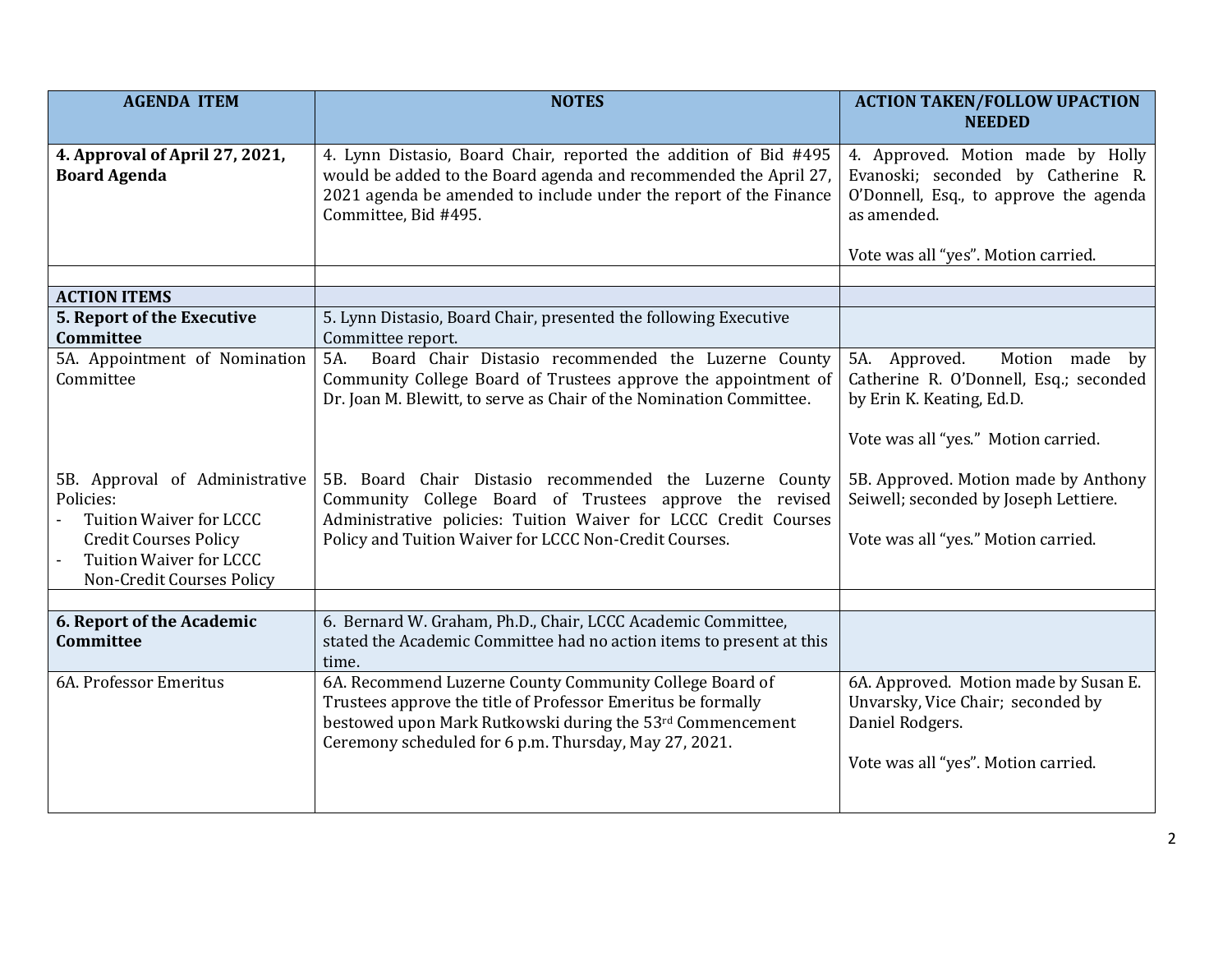| <b>AGENDA ITEM</b>                                                                                                                                                           | <b>NOTES</b>                                                                                                                                                                                                                                    | <b>ACTION TAKEN/FOLLOW UPACTION</b><br><b>NEEDED</b>                                                                                                                    |
|------------------------------------------------------------------------------------------------------------------------------------------------------------------------------|-------------------------------------------------------------------------------------------------------------------------------------------------------------------------------------------------------------------------------------------------|-------------------------------------------------------------------------------------------------------------------------------------------------------------------------|
| 4. Approval of April 27, 2021,<br><b>Board Agenda</b>                                                                                                                        | 4. Lynn Distasio, Board Chair, reported the addition of Bid #495<br>would be added to the Board agenda and recommended the April 27,<br>2021 agenda be amended to include under the report of the Finance<br>Committee, Bid #495.               | 4. Approved. Motion made by Holly<br>Evanoski; seconded by Catherine R.<br>O'Donnell, Esq., to approve the agenda<br>as amended.<br>Vote was all "yes". Motion carried. |
| <b>ACTION ITEMS</b>                                                                                                                                                          |                                                                                                                                                                                                                                                 |                                                                                                                                                                         |
| 5. Report of the Executive<br>Committee                                                                                                                                      | 5. Lynn Distasio, Board Chair, presented the following Executive<br>Committee report.                                                                                                                                                           |                                                                                                                                                                         |
| 5A. Appointment of Nomination<br>Committee                                                                                                                                   | Board Chair Distasio recommended the Luzerne County<br>5A.<br>Community College Board of Trustees approve the appointment of<br>Dr. Joan M. Blewitt, to serve as Chair of the Nomination Committee.                                             | 5A. Approved.<br>Motion made<br>by<br>Catherine R. O'Donnell, Esq.; seconded<br>by Erin K. Keating, Ed.D.<br>Vote was all "yes." Motion carried.                        |
| 5B. Approval of Administrative<br>Policies:<br><b>Tuition Waiver for LCCC</b><br><b>Credit Courses Policy</b><br><b>Tuition Waiver for LCCC</b><br>Non-Credit Courses Policy | 5B. Board Chair Distasio recommended the Luzerne County<br>Community College Board of Trustees approve the revised<br>Administrative policies: Tuition Waiver for LCCC Credit Courses<br>Policy and Tuition Waiver for LCCC Non-Credit Courses. | 5B. Approved. Motion made by Anthony<br>Seiwell; seconded by Joseph Lettiere.<br>Vote was all "yes." Motion carried.                                                    |
| 6. Report of the Academic                                                                                                                                                    | 6. Bernard W. Graham, Ph.D., Chair, LCCC Academic Committee,                                                                                                                                                                                    |                                                                                                                                                                         |
| Committee                                                                                                                                                                    | stated the Academic Committee had no action items to present at this<br>time.                                                                                                                                                                   |                                                                                                                                                                         |
| 6A. Professor Emeritus                                                                                                                                                       | 6A. Recommend Luzerne County Community College Board of<br>Trustees approve the title of Professor Emeritus be formally<br>bestowed upon Mark Rutkowski during the 53rd Commencement<br>Ceremony scheduled for 6 p.m. Thursday, May 27, 2021.   | 6A. Approved. Motion made by Susan E.<br>Unvarsky, Vice Chair; seconded by<br>Daniel Rodgers.<br>Vote was all "yes". Motion carried.                                    |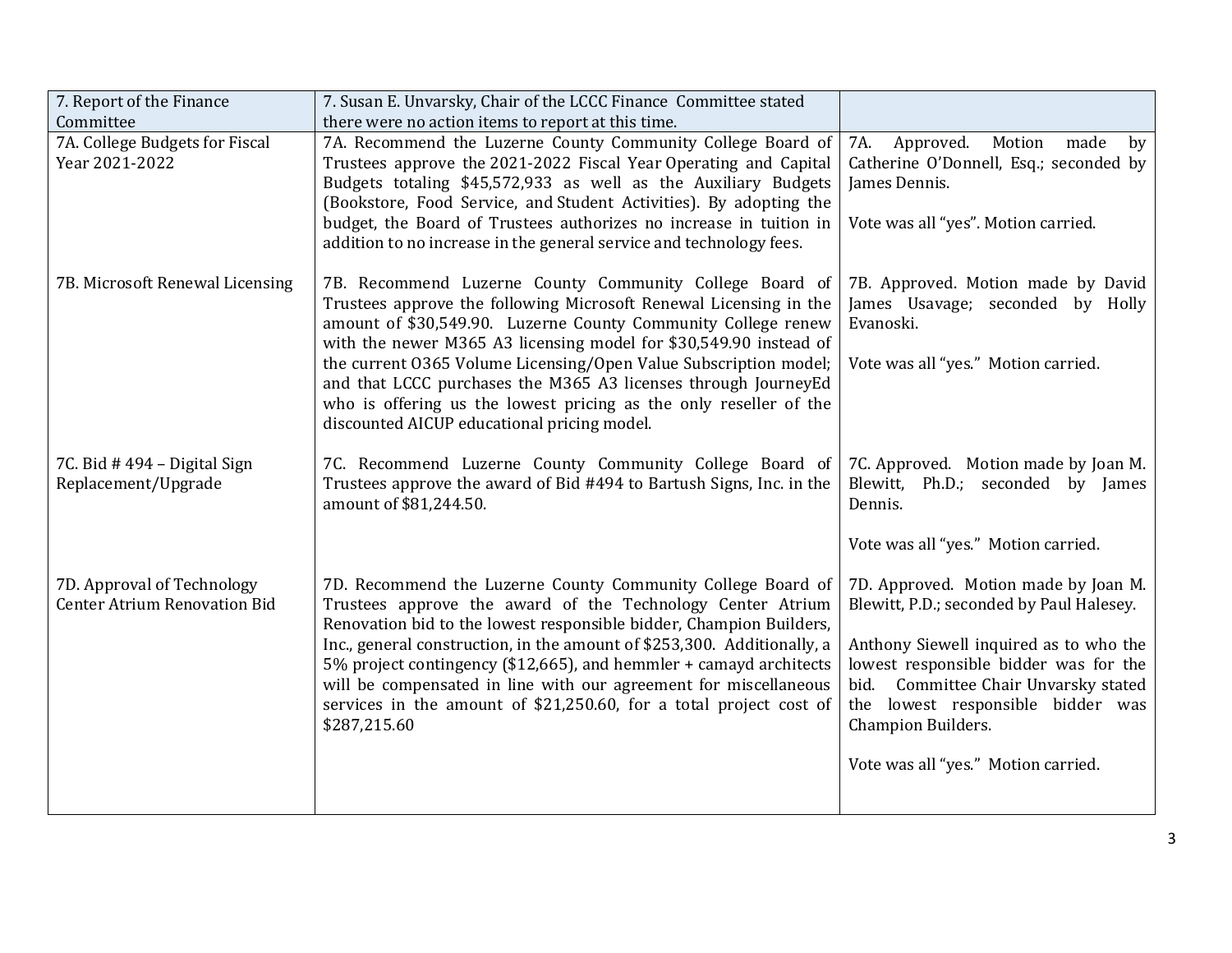| 7. Report of the Finance                                          | 7. Susan E. Unvarsky, Chair of the LCCC Finance Committee stated                                                                                                                              |                                                                                      |
|-------------------------------------------------------------------|-----------------------------------------------------------------------------------------------------------------------------------------------------------------------------------------------|--------------------------------------------------------------------------------------|
| Committee                                                         | there were no action items to report at this time.                                                                                                                                            |                                                                                      |
| 7A. College Budgets for Fiscal                                    | 7A. Recommend the Luzerne County Community College Board of                                                                                                                                   | Approved.<br>Motion<br>7A.<br>made<br>by                                             |
| Year 2021-2022                                                    | Trustees approve the 2021-2022 Fiscal Year Operating and Capital                                                                                                                              | Catherine O'Donnell, Esq.; seconded by                                               |
|                                                                   | Budgets totaling \$45,572,933 as well as the Auxiliary Budgets                                                                                                                                | James Dennis.                                                                        |
|                                                                   | (Bookstore, Food Service, and Student Activities). By adopting the                                                                                                                            |                                                                                      |
|                                                                   | budget, the Board of Trustees authorizes no increase in tuition in                                                                                                                            | Vote was all "yes". Motion carried.                                                  |
|                                                                   | addition to no increase in the general service and technology fees.                                                                                                                           |                                                                                      |
| 7B. Microsoft Renewal Licensing                                   | 7B. Recommend Luzerne County Community College Board of<br>Trustees approve the following Microsoft Renewal Licensing in the<br>amount of \$30,549.90. Luzerne County Community College renew | 7B. Approved. Motion made by David<br>James Usavage; seconded by Holly<br>Evanoski.  |
|                                                                   | with the newer M365 A3 licensing model for \$30,549.90 instead of                                                                                                                             |                                                                                      |
|                                                                   | the current 0365 Volume Licensing/Open Value Subscription model;<br>and that LCCC purchases the M365 A3 licenses through JourneyEd                                                            | Vote was all "yes." Motion carried.                                                  |
|                                                                   | who is offering us the lowest pricing as the only reseller of the<br>discounted AICUP educational pricing model.                                                                              |                                                                                      |
|                                                                   |                                                                                                                                                                                               |                                                                                      |
| 7C. Bid #494 - Digital Sign<br>Replacement/Upgrade                | 7C. Recommend Luzerne County Community College Board of<br>Trustees approve the award of Bid #494 to Bartush Signs, Inc. in the<br>amount of \$81,244.50.                                     | 7C. Approved. Motion made by Joan M.<br>Blewitt, Ph.D.; seconded by James<br>Dennis. |
|                                                                   |                                                                                                                                                                                               | Vote was all "yes." Motion carried.                                                  |
| 7D. Approval of Technology<br><b>Center Atrium Renovation Bid</b> | 7D. Recommend the Luzerne County Community College Board of<br>Trustees approve the award of the Technology Center Atrium                                                                     | 7D. Approved. Motion made by Joan M.<br>Blewitt, P.D.; seconded by Paul Halesey.     |
|                                                                   | Renovation bid to the lowest responsible bidder, Champion Builders,                                                                                                                           |                                                                                      |
|                                                                   | Inc., general construction, in the amount of \$253,300. Additionally, a<br>5% project contingency (\$12,665), and hemmler + camayd architects                                                 | Anthony Siewell inquired as to who the<br>lowest responsible bidder was for the      |
|                                                                   | will be compensated in line with our agreement for miscellaneous                                                                                                                              | bid. Committee Chair Unvarsky stated                                                 |
|                                                                   | services in the amount of \$21,250.60, for a total project cost of<br>\$287,215.60                                                                                                            | the lowest responsible bidder was<br><b>Champion Builders.</b>                       |
|                                                                   |                                                                                                                                                                                               |                                                                                      |
|                                                                   |                                                                                                                                                                                               | Vote was all "yes." Motion carried.                                                  |
|                                                                   |                                                                                                                                                                                               |                                                                                      |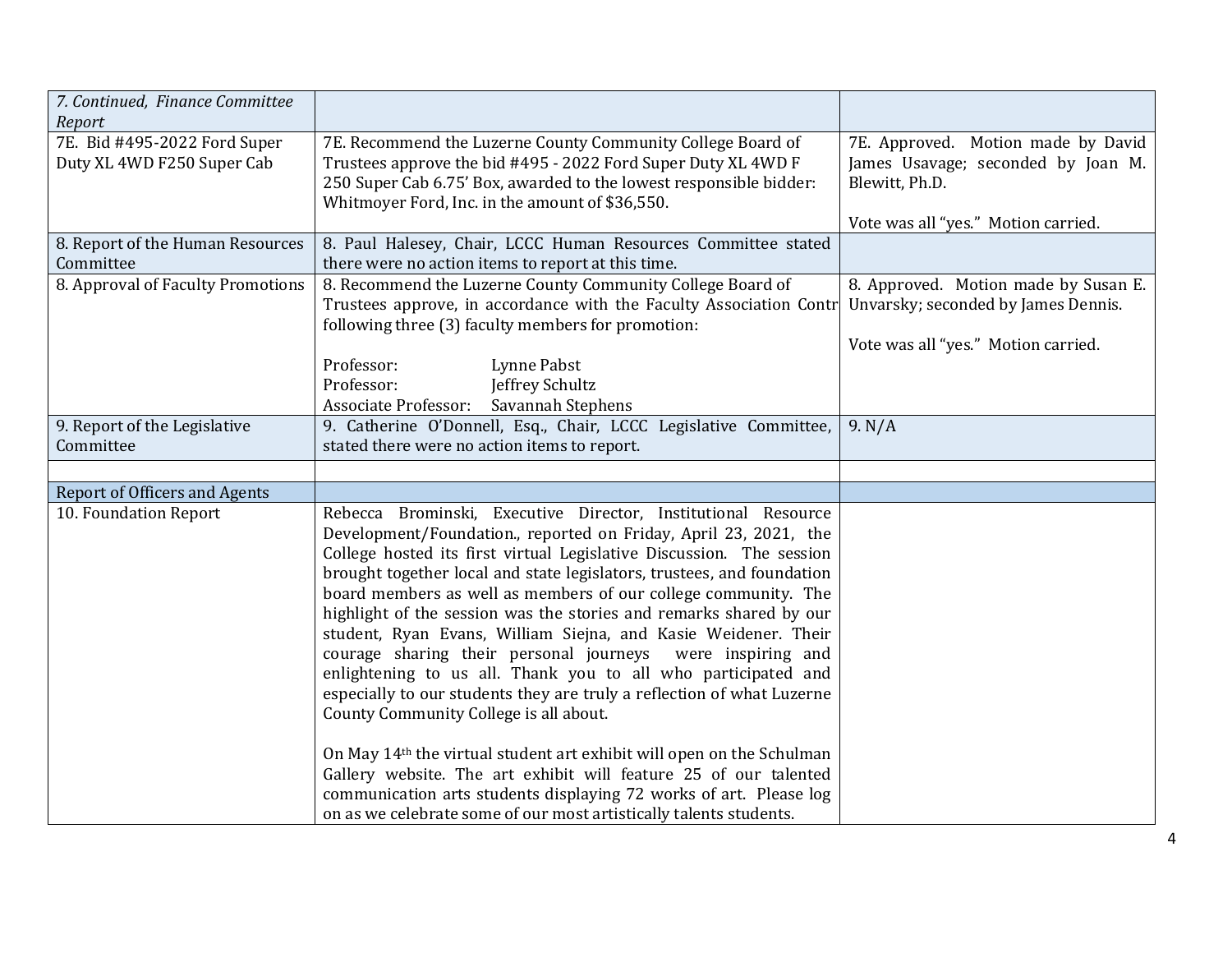| 7. Continued, Finance Committee                            |                                                                                                                                                                                                                                                                                                                                                                                                                                                                                                                                                                                                                                                                                                                                                     |                                                                                                                                   |
|------------------------------------------------------------|-----------------------------------------------------------------------------------------------------------------------------------------------------------------------------------------------------------------------------------------------------------------------------------------------------------------------------------------------------------------------------------------------------------------------------------------------------------------------------------------------------------------------------------------------------------------------------------------------------------------------------------------------------------------------------------------------------------------------------------------------------|-----------------------------------------------------------------------------------------------------------------------------------|
| Report                                                     |                                                                                                                                                                                                                                                                                                                                                                                                                                                                                                                                                                                                                                                                                                                                                     |                                                                                                                                   |
| 7E. Bid #495-2022 Ford Super<br>Duty XL 4WD F250 Super Cab | 7E. Recommend the Luzerne County Community College Board of<br>Trustees approve the bid #495 - 2022 Ford Super Duty XL 4WD F<br>250 Super Cab 6.75' Box, awarded to the lowest responsible bidder:<br>Whitmoyer Ford, Inc. in the amount of \$36,550.                                                                                                                                                                                                                                                                                                                                                                                                                                                                                               | 7E. Approved. Motion made by David<br>James Usavage; seconded by Joan M.<br>Blewitt, Ph.D.<br>Vote was all "yes." Motion carried. |
| 8. Report of the Human Resources<br>Committee              | 8. Paul Halesey, Chair, LCCC Human Resources Committee stated<br>there were no action items to report at this time.                                                                                                                                                                                                                                                                                                                                                                                                                                                                                                                                                                                                                                 |                                                                                                                                   |
| 8. Approval of Faculty Promotions                          | 8. Recommend the Luzerne County Community College Board of<br>Trustees approve, in accordance with the Faculty Association Contr<br>following three (3) faculty members for promotion:                                                                                                                                                                                                                                                                                                                                                                                                                                                                                                                                                              | 8. Approved. Motion made by Susan E.<br>Unvarsky; seconded by James Dennis.                                                       |
|                                                            |                                                                                                                                                                                                                                                                                                                                                                                                                                                                                                                                                                                                                                                                                                                                                     | Vote was all "yes." Motion carried.                                                                                               |
|                                                            | Professor:<br>Lynne Pabst<br>Professor:<br>Jeffrey Schultz<br>Savannah Stephens<br><b>Associate Professor:</b>                                                                                                                                                                                                                                                                                                                                                                                                                                                                                                                                                                                                                                      |                                                                                                                                   |
| 9. Report of the Legislative                               | 9. Catherine O'Donnell, Esq., Chair, LCCC Legislative Committee,                                                                                                                                                                                                                                                                                                                                                                                                                                                                                                                                                                                                                                                                                    | 9. N/A                                                                                                                            |
| Committee                                                  | stated there were no action items to report.                                                                                                                                                                                                                                                                                                                                                                                                                                                                                                                                                                                                                                                                                                        |                                                                                                                                   |
|                                                            |                                                                                                                                                                                                                                                                                                                                                                                                                                                                                                                                                                                                                                                                                                                                                     |                                                                                                                                   |
| <b>Report of Officers and Agents</b>                       |                                                                                                                                                                                                                                                                                                                                                                                                                                                                                                                                                                                                                                                                                                                                                     |                                                                                                                                   |
| 10. Foundation Report                                      | Rebecca Brominski, Executive Director, Institutional Resource<br>Development/Foundation., reported on Friday, April 23, 2021, the<br>College hosted its first virtual Legislative Discussion. The session<br>brought together local and state legislators, trustees, and foundation<br>board members as well as members of our college community. The<br>highlight of the session was the stories and remarks shared by our<br>student, Ryan Evans, William Siejna, and Kasie Weidener. Their<br>courage sharing their personal journeys<br>were inspiring and<br>enlightening to us all. Thank you to all who participated and<br>especially to our students they are truly a reflection of what Luzerne<br>County Community College is all about. |                                                                                                                                   |
|                                                            | On May 14 <sup>th</sup> the virtual student art exhibit will open on the Schulman<br>Gallery website. The art exhibit will feature 25 of our talented<br>communication arts students displaying 72 works of art. Please log<br>on as we celebrate some of our most artistically talents students.                                                                                                                                                                                                                                                                                                                                                                                                                                                   |                                                                                                                                   |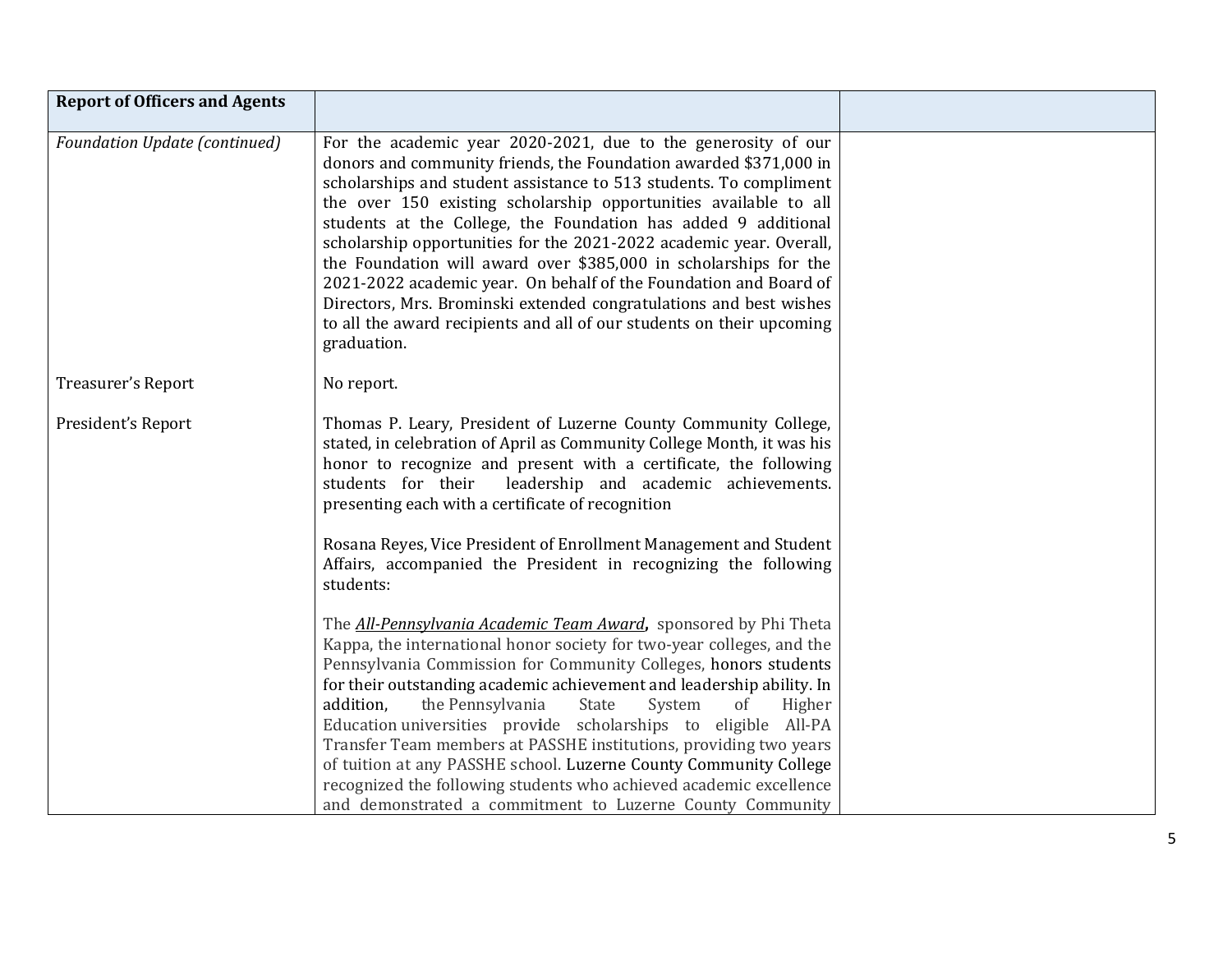| <b>Report of Officers and Agents</b> |                                                                                                                                                                                                                                                                                                                                                                                                                                                                                                                                                                                                                                                                                                                              |  |
|--------------------------------------|------------------------------------------------------------------------------------------------------------------------------------------------------------------------------------------------------------------------------------------------------------------------------------------------------------------------------------------------------------------------------------------------------------------------------------------------------------------------------------------------------------------------------------------------------------------------------------------------------------------------------------------------------------------------------------------------------------------------------|--|
| <b>Foundation Update (continued)</b> | For the academic year 2020-2021, due to the generosity of our<br>donors and community friends, the Foundation awarded \$371,000 in<br>scholarships and student assistance to 513 students. To compliment<br>the over 150 existing scholarship opportunities available to all<br>students at the College, the Foundation has added 9 additional<br>scholarship opportunities for the 2021-2022 academic year. Overall,<br>the Foundation will award over \$385,000 in scholarships for the<br>2021-2022 academic year. On behalf of the Foundation and Board of<br>Directors, Mrs. Brominski extended congratulations and best wishes<br>to all the award recipients and all of our students on their upcoming<br>graduation. |  |
| Treasurer's Report                   | No report.                                                                                                                                                                                                                                                                                                                                                                                                                                                                                                                                                                                                                                                                                                                   |  |
| President's Report                   | Thomas P. Leary, President of Luzerne County Community College,<br>stated, in celebration of April as Community College Month, it was his<br>honor to recognize and present with a certificate, the following<br>students for their<br>leadership and academic achievements.<br>presenting each with a certificate of recognition                                                                                                                                                                                                                                                                                                                                                                                            |  |
|                                      | Rosana Reyes, Vice President of Enrollment Management and Student<br>Affairs, accompanied the President in recognizing the following<br>students:                                                                                                                                                                                                                                                                                                                                                                                                                                                                                                                                                                            |  |
|                                      | The <b>All-Pennsylvania Academic Team Award</b> , sponsored by Phi Theta<br>Kappa, the international honor society for two-year colleges, and the<br>Pennsylvania Commission for Community Colleges, honors students<br>for their outstanding academic achievement and leadership ability. In<br>addition,<br>the Pennsylvania<br>State<br>System<br><sub>of</sub><br>Higher<br>Education universities provide scholarships to eligible All-PA<br>Transfer Team members at PASSHE institutions, providing two years<br>of tuition at any PASSHE school. Luzerne County Community College<br>recognized the following students who achieved academic excellence<br>and demonstrated a commitment to Luzerne County Community  |  |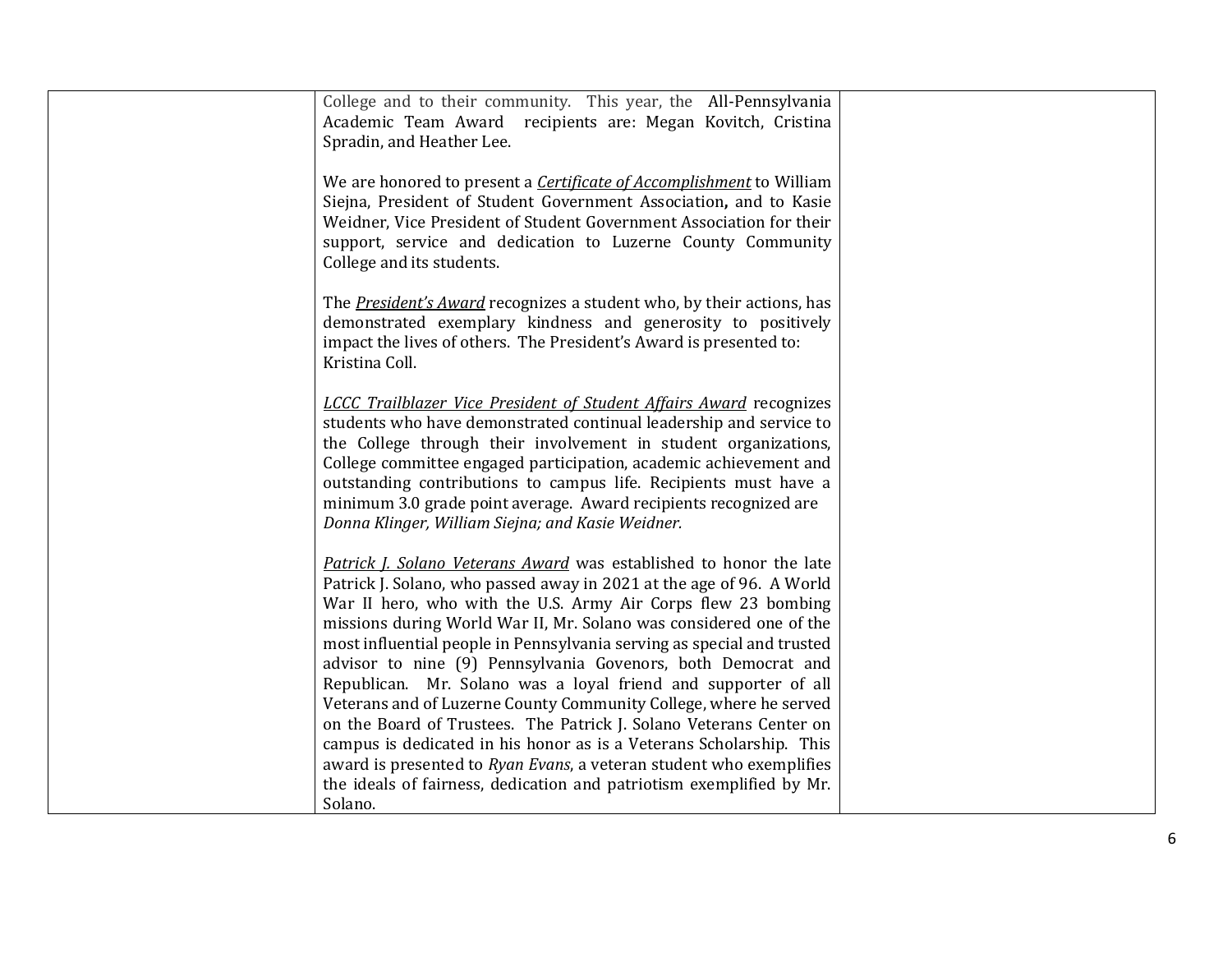| College and to their community. This year, the All-Pennsylvania<br>Academic Team Award recipients are: Megan Kovitch, Cristina<br>Spradin, and Heather Lee.                                                                                                                                                                                                                                                                                                                                                                                                                                                                                                                                                                                                                                                                                                    |  |
|----------------------------------------------------------------------------------------------------------------------------------------------------------------------------------------------------------------------------------------------------------------------------------------------------------------------------------------------------------------------------------------------------------------------------------------------------------------------------------------------------------------------------------------------------------------------------------------------------------------------------------------------------------------------------------------------------------------------------------------------------------------------------------------------------------------------------------------------------------------|--|
| We are honored to present a <i>Certificate of Accomplishment</i> to William<br>Siejna, President of Student Government Association, and to Kasie<br>Weidner, Vice President of Student Government Association for their<br>support, service and dedication to Luzerne County Community<br>College and its students.                                                                                                                                                                                                                                                                                                                                                                                                                                                                                                                                            |  |
| The President's Award recognizes a student who, by their actions, has<br>demonstrated exemplary kindness and generosity to positively<br>impact the lives of others. The President's Award is presented to:<br>Kristina Coll.                                                                                                                                                                                                                                                                                                                                                                                                                                                                                                                                                                                                                                  |  |
| <b>LCCC Trailblazer Vice President of Student Affairs Award recognizes</b><br>students who have demonstrated continual leadership and service to<br>the College through their involvement in student organizations,<br>College committee engaged participation, academic achievement and<br>outstanding contributions to campus life. Recipients must have a<br>minimum 3.0 grade point average. Award recipients recognized are<br>Donna Klinger, William Siejna; and Kasie Weidner.                                                                                                                                                                                                                                                                                                                                                                          |  |
| Patrick J. Solano Veterans Award was established to honor the late<br>Patrick J. Solano, who passed away in 2021 at the age of 96. A World<br>War II hero, who with the U.S. Army Air Corps flew 23 bombing<br>missions during World War II, Mr. Solano was considered one of the<br>most influential people in Pennsylvania serving as special and trusted<br>advisor to nine (9) Pennsylvania Govenors, both Democrat and<br>Republican. Mr. Solano was a loyal friend and supporter of all<br>Veterans and of Luzerne County Community College, where he served<br>on the Board of Trustees. The Patrick J. Solano Veterans Center on<br>campus is dedicated in his honor as is a Veterans Scholarship. This<br>award is presented to Ryan Evans, a veteran student who exemplifies<br>the ideals of fairness, dedication and patriotism exemplified by Mr. |  |
| Solano.                                                                                                                                                                                                                                                                                                                                                                                                                                                                                                                                                                                                                                                                                                                                                                                                                                                        |  |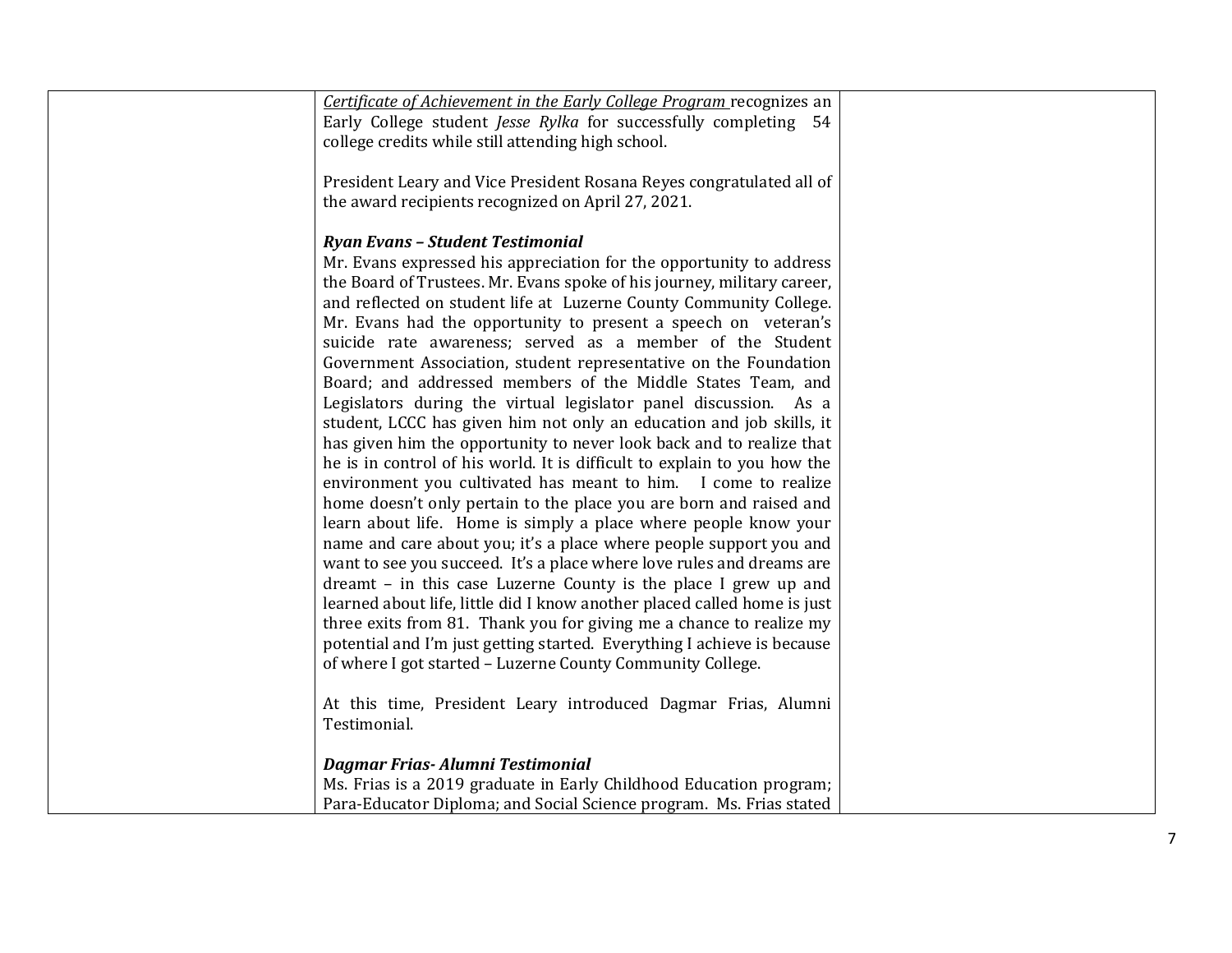| Certificate of Achievement in the Early College Program recognizes an<br>Early College student Jesse Rylka for successfully completing 54<br>college credits while still attending high school.             |  |
|-------------------------------------------------------------------------------------------------------------------------------------------------------------------------------------------------------------|--|
| President Leary and Vice President Rosana Reyes congratulated all of<br>the award recipients recognized on April 27, 2021.                                                                                  |  |
| Ryan Evans - Student Testimonial<br>Mr. Evans expressed his appreciation for the opportunity to address                                                                                                     |  |
| the Board of Trustees. Mr. Evans spoke of his journey, military career,<br>and reflected on student life at Luzerne County Community College.                                                               |  |
| Mr. Evans had the opportunity to present a speech on veteran's<br>suicide rate awareness; served as a member of the Student                                                                                 |  |
| Government Association, student representative on the Foundation<br>Board; and addressed members of the Middle States Team, and<br>Legislators during the virtual legislator panel discussion. As a         |  |
| student, LCCC has given him not only an education and job skills, it<br>has given him the opportunity to never look back and to realize that                                                                |  |
| he is in control of his world. It is difficult to explain to you how the<br>environment you cultivated has meant to him. I come to realize                                                                  |  |
| home doesn't only pertain to the place you are born and raised and<br>learn about life. Home is simply a place where people know your<br>name and care about you; it's a place where people support you and |  |
| want to see you succeed. It's a place where love rules and dreams are<br>dreamt - in this case Luzerne County is the place I grew up and                                                                    |  |
| learned about life, little did I know another placed called home is just<br>three exits from 81. Thank you for giving me a chance to realize my                                                             |  |
| potential and I'm just getting started. Everything I achieve is because<br>of where I got started - Luzerne County Community College.                                                                       |  |
| At this time, President Leary introduced Dagmar Frias, Alumni<br>Testimonial.                                                                                                                               |  |
| Dagmar Frias-Alumni Testimonial                                                                                                                                                                             |  |
| Ms. Frias is a 2019 graduate in Early Childhood Education program;                                                                                                                                          |  |
| Para-Educator Diploma; and Social Science program. Ms. Frias stated                                                                                                                                         |  |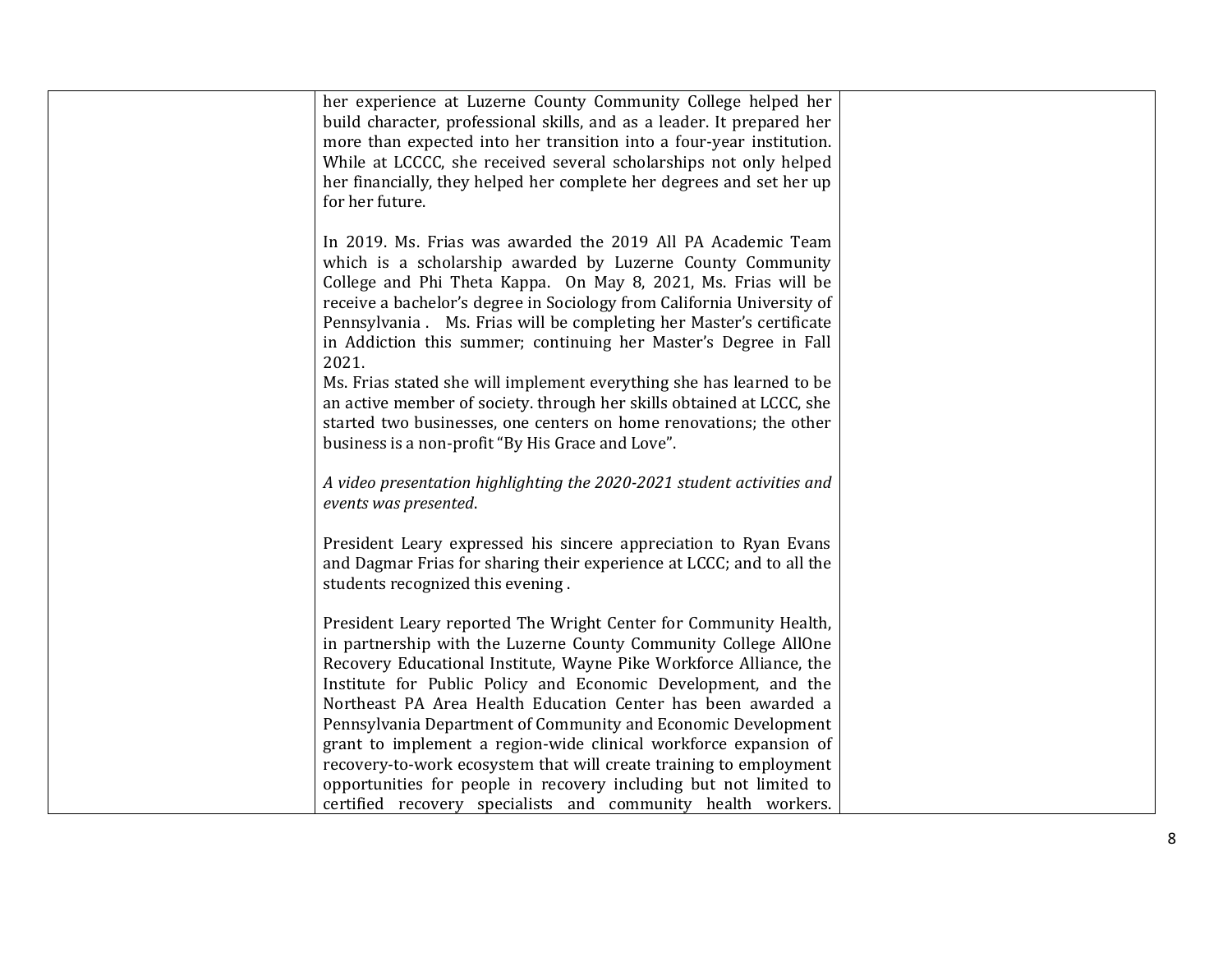| her experience at Luzerne County Community College helped her<br>build character, professional skills, and as a leader. It prepared her<br>more than expected into her transition into a four-year institution.<br>While at LCCCC, she received several scholarships not only helped<br>her financially, they helped her complete her degrees and set her up<br>for her future.                                             |  |
|-----------------------------------------------------------------------------------------------------------------------------------------------------------------------------------------------------------------------------------------------------------------------------------------------------------------------------------------------------------------------------------------------------------------------------|--|
| In 2019. Ms. Frias was awarded the 2019 All PA Academic Team<br>which is a scholarship awarded by Luzerne County Community<br>College and Phi Theta Kappa. On May 8, 2021, Ms. Frias will be<br>receive a bachelor's degree in Sociology from California University of<br>Pennsylvania . Ms. Frias will be completing her Master's certificate<br>in Addiction this summer; continuing her Master's Degree in Fall<br>2021. |  |
| Ms. Frias stated she will implement everything she has learned to be<br>an active member of society. through her skills obtained at LCCC, she<br>started two businesses, one centers on home renovations; the other<br>business is a non-profit "By His Grace and Love".                                                                                                                                                    |  |
| A video presentation highlighting the 2020-2021 student activities and<br>events was presented.                                                                                                                                                                                                                                                                                                                             |  |
| President Leary expressed his sincere appreciation to Ryan Evans<br>and Dagmar Frias for sharing their experience at LCCC; and to all the<br>students recognized this evening.                                                                                                                                                                                                                                              |  |
| President Leary reported The Wright Center for Community Health,<br>in partnership with the Luzerne County Community College AllOne<br>Recovery Educational Institute, Wayne Pike Workforce Alliance, the<br>Institute for Public Policy and Economic Development, and the<br>Northeast PA Area Health Education Center has been awarded a                                                                                  |  |
| Pennsylvania Department of Community and Economic Development<br>grant to implement a region-wide clinical workforce expansion of<br>recovery-to-work ecosystem that will create training to employment<br>opportunities for people in recovery including but not limited to<br>certified recovery specialists and community health workers.                                                                                |  |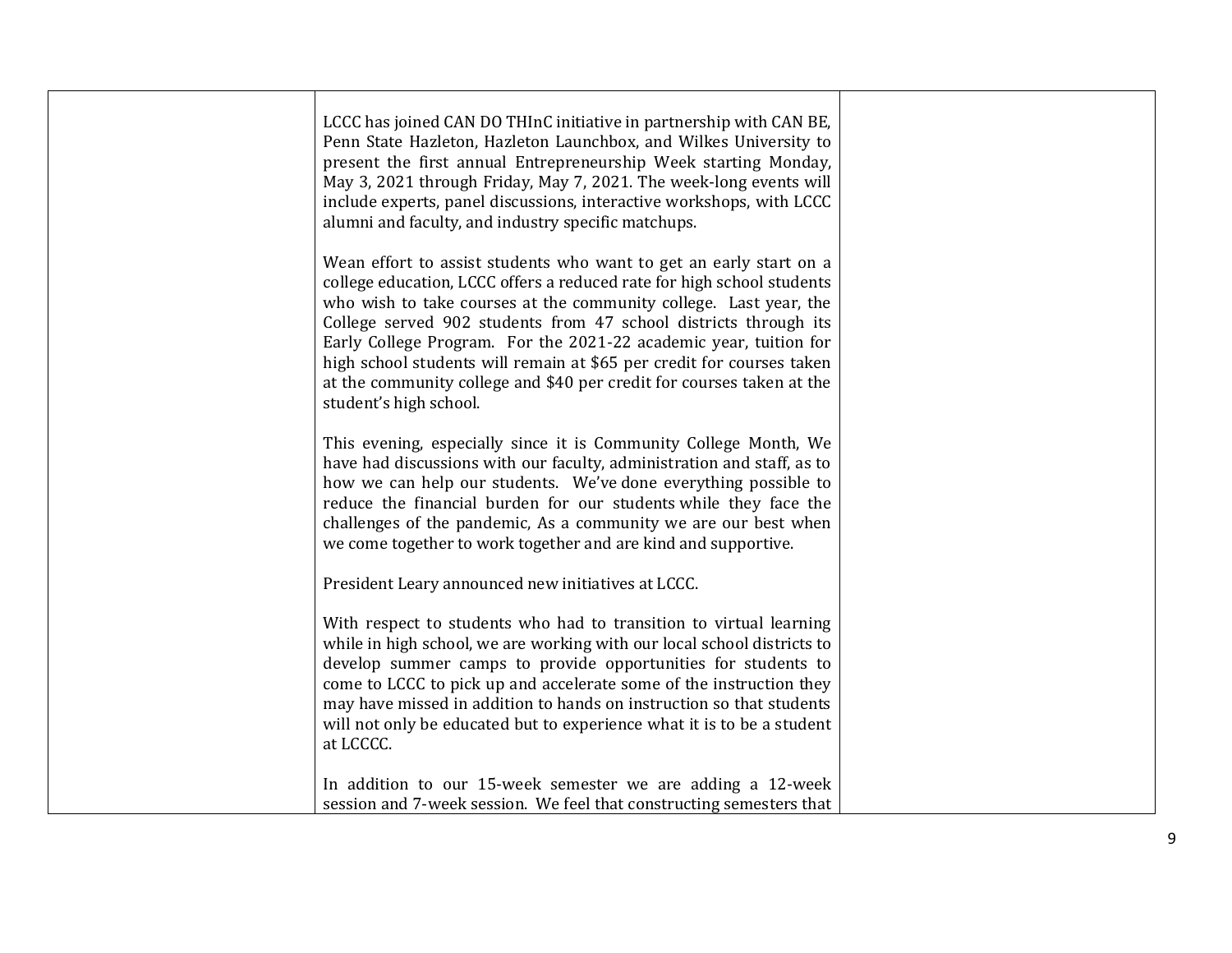| LCCC has joined CAN DO THInC initiative in partnership with CAN BE,<br>Penn State Hazleton, Hazleton Launchbox, and Wilkes University to<br>present the first annual Entrepreneurship Week starting Monday,<br>May 3, 2021 through Friday, May 7, 2021. The week-long events will<br>include experts, panel discussions, interactive workshops, with LCCC<br>alumni and faculty, and industry specific matchups.                                                                                                                       |  |
|----------------------------------------------------------------------------------------------------------------------------------------------------------------------------------------------------------------------------------------------------------------------------------------------------------------------------------------------------------------------------------------------------------------------------------------------------------------------------------------------------------------------------------------|--|
| Wean effort to assist students who want to get an early start on a<br>college education, LCCC offers a reduced rate for high school students<br>who wish to take courses at the community college. Last year, the<br>College served 902 students from 47 school districts through its<br>Early College Program. For the 2021-22 academic year, tuition for<br>high school students will remain at \$65 per credit for courses taken<br>at the community college and \$40 per credit for courses taken at the<br>student's high school. |  |
| This evening, especially since it is Community College Month, We<br>have had discussions with our faculty, administration and staff, as to<br>how we can help our students. We've done everything possible to<br>reduce the financial burden for our students while they face the<br>challenges of the pandemic, As a community we are our best when<br>we come together to work together and are kind and supportive.                                                                                                                 |  |
| President Leary announced new initiatives at LCCC.                                                                                                                                                                                                                                                                                                                                                                                                                                                                                     |  |
| With respect to students who had to transition to virtual learning<br>while in high school, we are working with our local school districts to<br>develop summer camps to provide opportunities for students to<br>come to LCCC to pick up and accelerate some of the instruction they<br>may have missed in addition to hands on instruction so that students<br>will not only be educated but to experience what it is to be a student<br>at LCCCC.                                                                                   |  |
| In addition to our 15-week semester we are adding a 12-week<br>session and 7-week session. We feel that constructing semesters that                                                                                                                                                                                                                                                                                                                                                                                                    |  |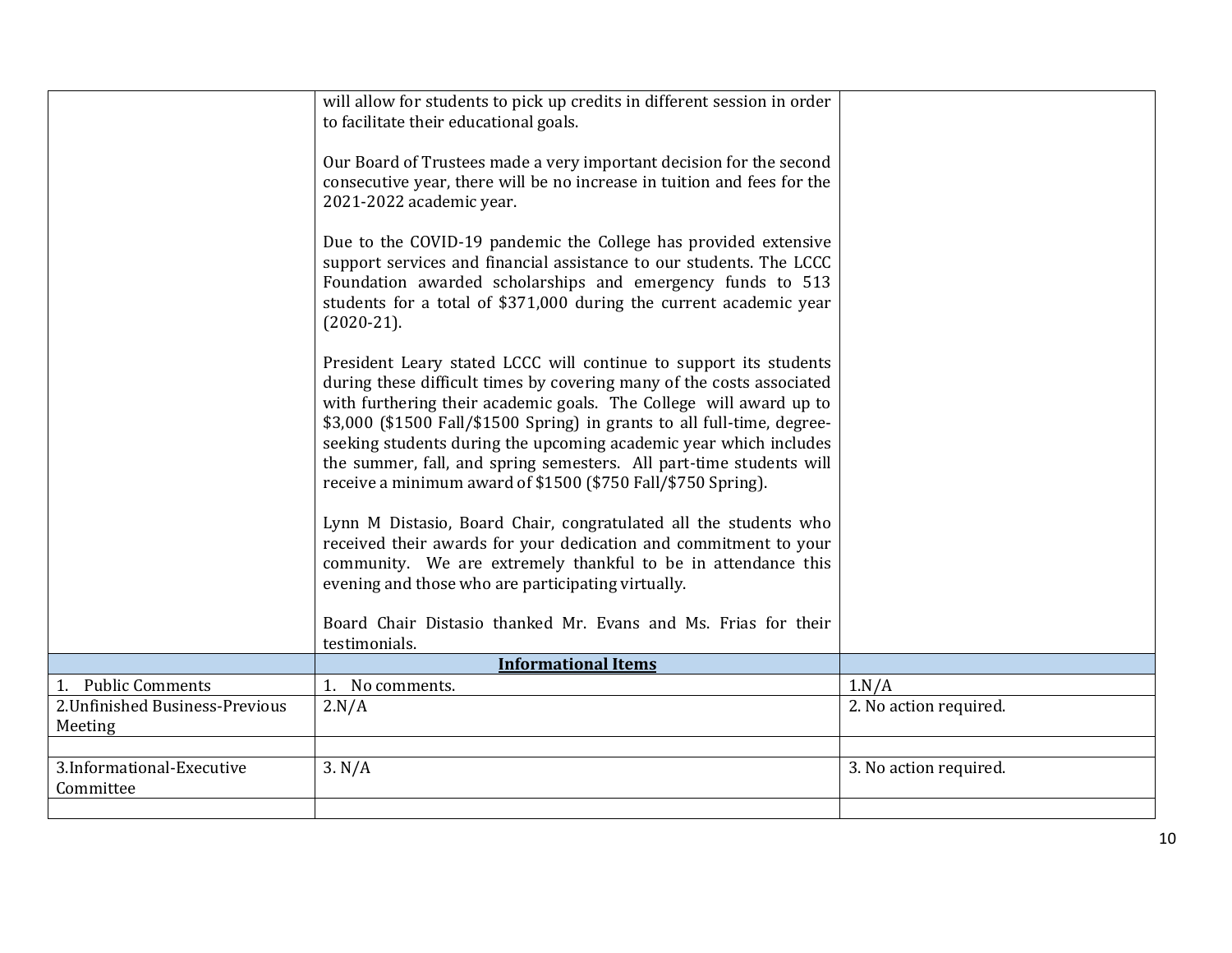|                                            | will allow for students to pick up credits in different session in order<br>to facilitate their educational goals.                                                                                                                                                                                                                                                                                                                                                                                      |                        |
|--------------------------------------------|---------------------------------------------------------------------------------------------------------------------------------------------------------------------------------------------------------------------------------------------------------------------------------------------------------------------------------------------------------------------------------------------------------------------------------------------------------------------------------------------------------|------------------------|
|                                            | Our Board of Trustees made a very important decision for the second<br>consecutive year, there will be no increase in tuition and fees for the<br>2021-2022 academic year.                                                                                                                                                                                                                                                                                                                              |                        |
|                                            | Due to the COVID-19 pandemic the College has provided extensive<br>support services and financial assistance to our students. The LCCC<br>Foundation awarded scholarships and emergency funds to 513<br>students for a total of \$371,000 during the current academic year<br>$(2020-21).$                                                                                                                                                                                                              |                        |
|                                            | President Leary stated LCCC will continue to support its students<br>during these difficult times by covering many of the costs associated<br>with furthering their academic goals. The College will award up to<br>\$3,000 (\$1500 Fall/\$1500 Spring) in grants to all full-time, degree-<br>seeking students during the upcoming academic year which includes<br>the summer, fall, and spring semesters. All part-time students will<br>receive a minimum award of \$1500 (\$750 Fall/\$750 Spring). |                        |
|                                            | Lynn M Distasio, Board Chair, congratulated all the students who<br>received their awards for your dedication and commitment to your<br>community. We are extremely thankful to be in attendance this<br>evening and those who are participating virtually.                                                                                                                                                                                                                                             |                        |
|                                            | Board Chair Distasio thanked Mr. Evans and Ms. Frias for their<br>testimonials.                                                                                                                                                                                                                                                                                                                                                                                                                         |                        |
|                                            | <b>Informational Items</b>                                                                                                                                                                                                                                                                                                                                                                                                                                                                              |                        |
| 1. Public Comments                         | 1. No comments.                                                                                                                                                                                                                                                                                                                                                                                                                                                                                         | 1.N/A                  |
| 2. Unfinished Business-Previous<br>Meeting | 2.N/A                                                                                                                                                                                                                                                                                                                                                                                                                                                                                                   | 2. No action required. |
|                                            |                                                                                                                                                                                                                                                                                                                                                                                                                                                                                                         |                        |
| 3.Informational-Executive<br>Committee     | 3. N/A                                                                                                                                                                                                                                                                                                                                                                                                                                                                                                  | 3. No action required. |
|                                            |                                                                                                                                                                                                                                                                                                                                                                                                                                                                                                         |                        |